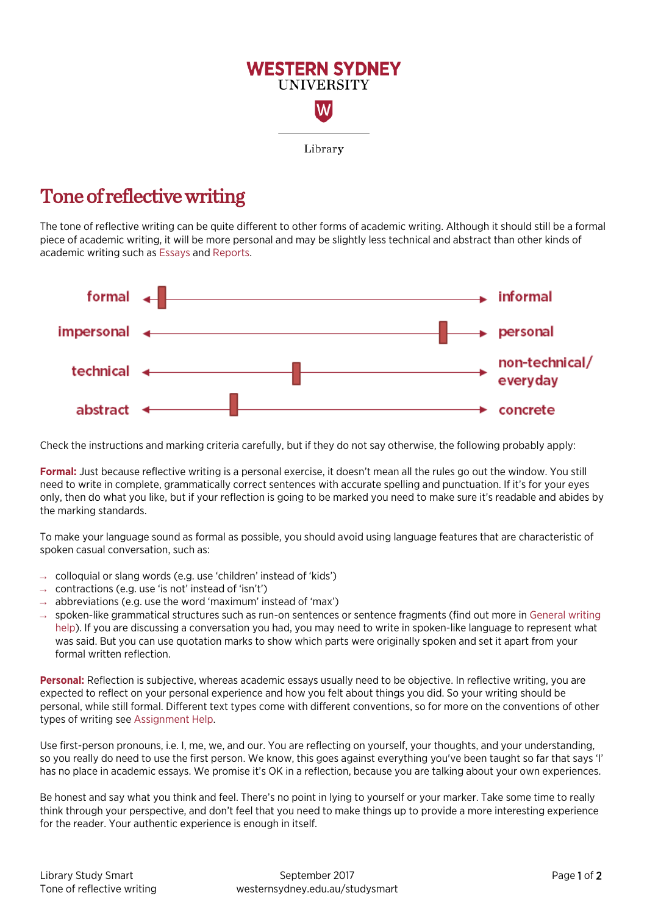

## Tone of reflective writing

The tone of reflective writing can be quite different to other forms of academic writing. Although it should still be a formal piece of academic writing, it will be more personal and may be slightly less technical and abstract than other kinds of academic writing such a[s Essays](http://westernsydney.edu.au/studysmart/home/assignment_help/writing) and [Reports.](http://westernsydney.edu.au/studysmart/home/assignment_help/writing)



Check the instructions and marking criteria carefully, but if they do not say otherwise, the following probably apply:

**Formal:** Just because reflective writing is a personal exercise, it doesn't mean all the rules go out the window. You still need to write in complete, grammatically correct sentences with accurate spelling and punctuation. If it's for your eyes only, then do what you like, but if your reflection is going to be marked you need to make sure it's readable and abides by the marking standards.

To make your language sound as formal as possible, you should avoid using language features that are characteristic of spoken casual conversation, such as:

- $\rightarrow$  colloquial or slang words (e.g. use 'children' instead of 'kids')
- $\rightarrow$  contractions (e.g. use 'is not' instead of 'isn't')
- $\rightarrow$  abbreviations (e.g. use the word 'maximum' instead of 'max')
- $\rightarrow$  spoken-like grammatical structures such as run-on sentences or sentence fragments (find out more in [General writing](http://westernsydney.edu.au/studysmart/home/assignment_help/writing) [help\)](http://westernsydney.edu.au/studysmart/home/assignment_help/writing). If you are discussing a conversation you had, you may need to write in spoken-like language to represent what was said. But you can use quotation marks to show which parts were originally spoken and set it apart from your formal written reflection.

**Personal:** Reflection is subjective, whereas academic essays usually need to be objective. In reflective writing, you are expected to reflect on your personal experience and how you felt about things you did. So your writing should be personal, while still formal. Different text types come with different conventions, so for more on the conventions of other types of writing see [Assignment Help.](http://westernsydney.edu.au/studysmart/home/assignment_help) 

Use first-person pronouns, i.e. I, me, we, and our. You are reflecting on yourself, your thoughts, and your understanding, so you really do need to use the first person. We know, this goes against everything you've been taught so far that says 'I' has no place in academic essays. We promise it's OK in a reflection, because you are talking about your own experiences.

Be honest and say what you think and feel. There's no point in lying to yourself or your marker. Take some time to really think through your perspective, and don't feel that you need to make things up to provide a more interesting experience for the reader. Your authentic experience is enough in itself.